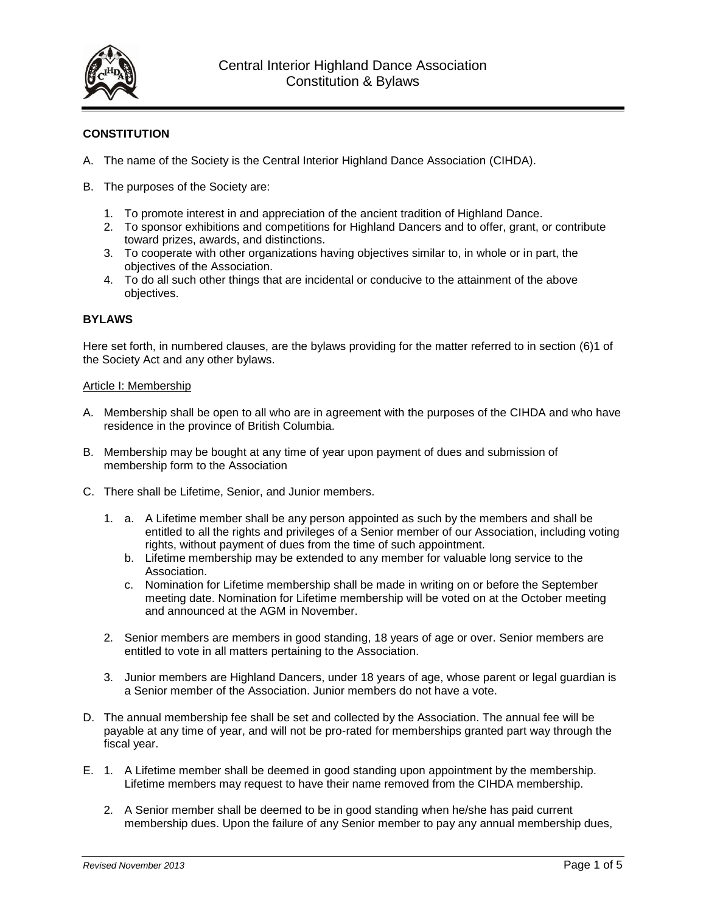

# **CONSTITUTION**

- A. The name of the Society is the Central Interior Highland Dance Association (CIHDA).
- B. The purposes of the Society are:
	- 1. To promote interest in and appreciation of the ancient tradition of Highland Dance.
	- 2. To sponsor exhibitions and competitions for Highland Dancers and to offer, grant, or contribute toward prizes, awards, and distinctions.
	- 3. To cooperate with other organizations having objectives similar to, in whole or in part, the objectives of the Association.
	- 4. To do all such other things that are incidental or conducive to the attainment of the above objectives.

# **BYLAWS**

Here set forth, in numbered clauses, are the bylaws providing for the matter referred to in section (6)1 of the Society Act and any other bylaws.

#### Article I: Membership

- A. Membership shall be open to all who are in agreement with the purposes of the CIHDA and who have residence in the province of British Columbia.
- B. Membership may be bought at any time of year upon payment of dues and submission of membership form to the Association
- C. There shall be Lifetime, Senior, and Junior members.
	- 1. a. A Lifetime member shall be any person appointed as such by the members and shall be entitled to all the rights and privileges of a Senior member of our Association, including voting rights, without payment of dues from the time of such appointment.
		- b. Lifetime membership may be extended to any member for valuable long service to the Association.
		- c. Nomination for Lifetime membership shall be made in writing on or before the September meeting date. Nomination for Lifetime membership will be voted on at the October meeting and announced at the AGM in November.
	- 2. Senior members are members in good standing, 18 years of age or over. Senior members are entitled to vote in all matters pertaining to the Association.
	- 3. Junior members are Highland Dancers, under 18 years of age, whose parent or legal guardian is a Senior member of the Association. Junior members do not have a vote.
- D. The annual membership fee shall be set and collected by the Association. The annual fee will be payable at any time of year, and will not be pro-rated for memberships granted part way through the fiscal year.
- E. 1. A Lifetime member shall be deemed in good standing upon appointment by the membership. Lifetime members may request to have their name removed from the CIHDA membership.
	- 2. A Senior member shall be deemed to be in good standing when he/she has paid current membership dues. Upon the failure of any Senior member to pay any annual membership dues,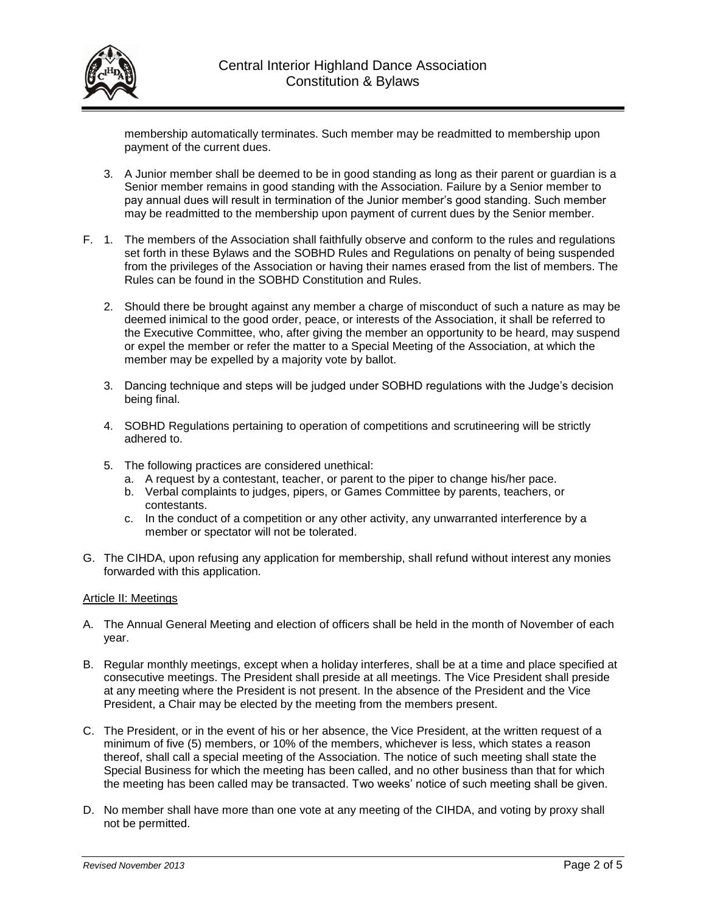

membership automatically terminates. Such member may be readmitted to membership upon payment of the current dues.

- 3. A Junior member shall be deemed to be in good standing as long as their parent or guardian is a Senior member remains in good standing with the Association. Failure by a Senior member to pay annual dues will result in termination of the Junior member's good standing. Such member may be readmitted to the membership upon payment of current dues by the Senior member.
- F. 1. The members of the Association shall faithfully observe and conform to the rules and regulations set forth in these Bylaws and the SOBHD Rules and Regulations on penalty of being suspended from the privileges of the Association or having their names erased from the list of members. The Rules can be found in the SOBHD Constitution and Rules.
	- 2. Should there be brought against any member a charge of misconduct of such a nature as may be deemed inimical to the good order, peace, or interests of the Association, it shall be referred to the Executive Committee, who, after giving the member an opportunity to be heard, may suspend or expel the member or refer the matter to a Special Meeting of the Association, at which the member may be expelled by a majority vote by ballot.
	- 3. Dancing technique and steps will be judged under SOBHD regulations with the Judge's decision being final.
	- 4. SOBHD Regulations pertaining to operation of competitions and scrutineering will be strictly adhered to.
	- 5. The following practices are considered unethical:
		- a. A request by a contestant, teacher, or parent to the piper to change his/her pace.
		- b. Verbal complaints to judges, pipers, or Games Committee by parents, teachers, or contestants.
		- c. In the conduct of a competition or any other activity, any unwarranted interference by a member or spectator will not be tolerated.
- G. The CIHDA, upon refusing any application for membership, shall refund without interest any monies forwarded with this application.

## Article II: Meetings

- A. The Annual General Meeting and election of officers shall be held in the month of November of each year.
- B. Regular monthly meetings, except when a holiday interferes, shall be at a time and place specified at consecutive meetings. The President shall preside at all meetings. The Vice President shall preside at any meeting where the President is not present. In the absence of the President and the Vice President, a Chair may be elected by the meeting from the members present.
- C. The President, or in the event of his or her absence, the Vice President, at the written request of a minimum of five (5) members, or 10% of the members, whichever is less, which states a reason thereof, shall call a special meeting of the Association. The notice of such meeting shall state the Special Business for which the meeting has been called, and no other business than that for which the meeting has been called may be transacted. Two weeks' notice of such meeting shall be given.
- D. No member shall have more than one vote at any meeting of the CIHDA, and voting by proxy shall not be permitted.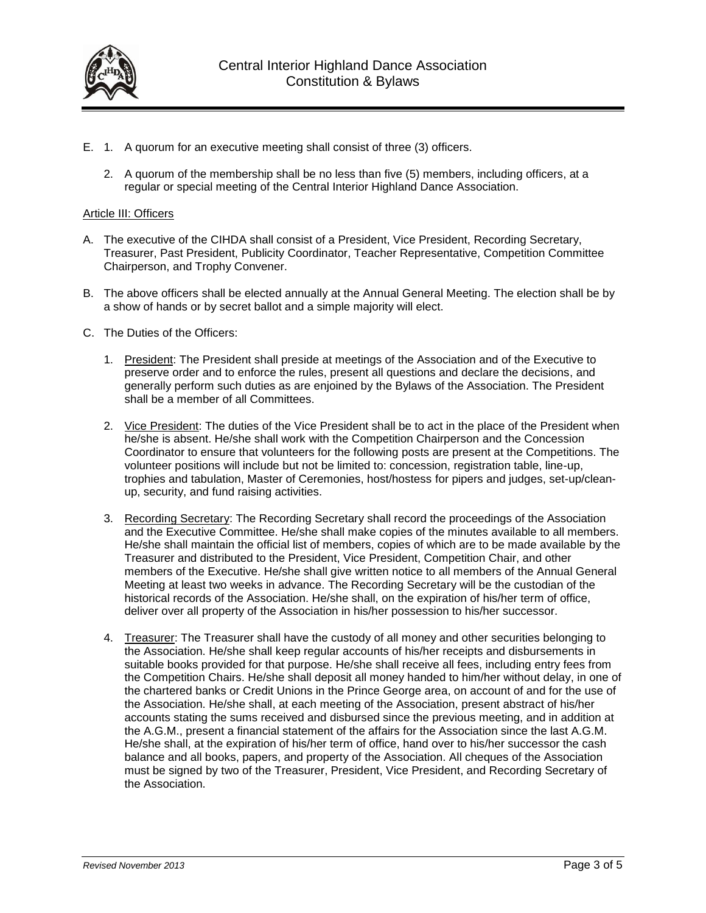

- E. 1. A quorum for an executive meeting shall consist of three (3) officers.
	- 2. A quorum of the membership shall be no less than five (5) members, including officers, at a regular or special meeting of the Central Interior Highland Dance Association.

#### Article III: Officers

- A. The executive of the CIHDA shall consist of a President, Vice President, Recording Secretary, Treasurer, Past President, Publicity Coordinator, Teacher Representative, Competition Committee Chairperson, and Trophy Convener.
- B. The above officers shall be elected annually at the Annual General Meeting. The election shall be by a show of hands or by secret ballot and a simple majority will elect.
- C. The Duties of the Officers:
	- 1. President: The President shall preside at meetings of the Association and of the Executive to preserve order and to enforce the rules, present all questions and declare the decisions, and generally perform such duties as are enjoined by the Bylaws of the Association. The President shall be a member of all Committees.
	- 2. Vice President: The duties of the Vice President shall be to act in the place of the President when he/she is absent. He/she shall work with the Competition Chairperson and the Concession Coordinator to ensure that volunteers for the following posts are present at the Competitions. The volunteer positions will include but not be limited to: concession, registration table, line-up, trophies and tabulation, Master of Ceremonies, host/hostess for pipers and judges, set-up/cleanup, security, and fund raising activities.
	- 3. Recording Secretary: The Recording Secretary shall record the proceedings of the Association and the Executive Committee. He/she shall make copies of the minutes available to all members. He/she shall maintain the official list of members, copies of which are to be made available by the Treasurer and distributed to the President, Vice President, Competition Chair, and other members of the Executive. He/she shall give written notice to all members of the Annual General Meeting at least two weeks in advance. The Recording Secretary will be the custodian of the historical records of the Association. He/she shall, on the expiration of his/her term of office, deliver over all property of the Association in his/her possession to his/her successor.
	- 4. Treasurer: The Treasurer shall have the custody of all money and other securities belonging to the Association. He/she shall keep regular accounts of his/her receipts and disbursements in suitable books provided for that purpose. He/she shall receive all fees, including entry fees from the Competition Chairs. He/she shall deposit all money handed to him/her without delay, in one of the chartered banks or Credit Unions in the Prince George area, on account of and for the use of the Association. He/she shall, at each meeting of the Association, present abstract of his/her accounts stating the sums received and disbursed since the previous meeting, and in addition at the A.G.M., present a financial statement of the affairs for the Association since the last A.G.M. He/she shall, at the expiration of his/her term of office, hand over to his/her successor the cash balance and all books, papers, and property of the Association. All cheques of the Association must be signed by two of the Treasurer, President, Vice President, and Recording Secretary of the Association.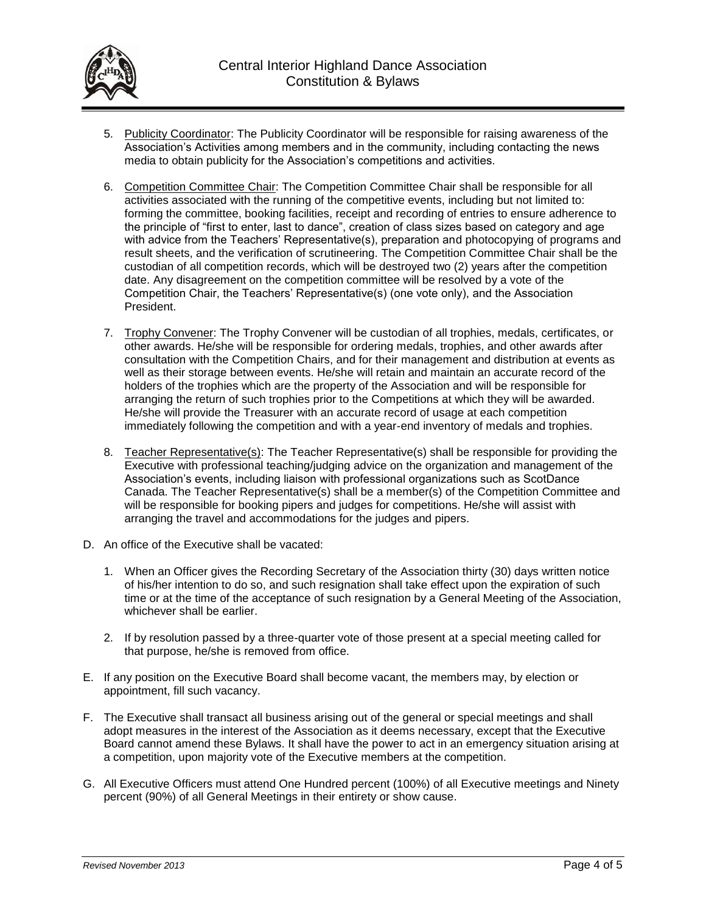

- 5. Publicity Coordinator: The Publicity Coordinator will be responsible for raising awareness of the Association's Activities among members and in the community, including contacting the news media to obtain publicity for the Association's competitions and activities.
- 6. Competition Committee Chair: The Competition Committee Chair shall be responsible for all activities associated with the running of the competitive events, including but not limited to: forming the committee, booking facilities, receipt and recording of entries to ensure adherence to the principle of "first to enter, last to dance", creation of class sizes based on category and age with advice from the Teachers' Representative(s), preparation and photocopying of programs and result sheets, and the verification of scrutineering. The Competition Committee Chair shall be the custodian of all competition records, which will be destroyed two (2) years after the competition date. Any disagreement on the competition committee will be resolved by a vote of the Competition Chair, the Teachers' Representative(s) (one vote only), and the Association President.
- 7. Trophy Convener: The Trophy Convener will be custodian of all trophies, medals, certificates, or other awards. He/she will be responsible for ordering medals, trophies, and other awards after consultation with the Competition Chairs, and for their management and distribution at events as well as their storage between events. He/she will retain and maintain an accurate record of the holders of the trophies which are the property of the Association and will be responsible for arranging the return of such trophies prior to the Competitions at which they will be awarded. He/she will provide the Treasurer with an accurate record of usage at each competition immediately following the competition and with a year-end inventory of medals and trophies.
- 8. Teacher Representative(s): The Teacher Representative(s) shall be responsible for providing the Executive with professional teaching/judging advice on the organization and management of the Association's events, including liaison with professional organizations such as ScotDance Canada. The Teacher Representative(s) shall be a member(s) of the Competition Committee and will be responsible for booking pipers and judges for competitions. He/she will assist with arranging the travel and accommodations for the judges and pipers.
- D. An office of the Executive shall be vacated:
	- 1. When an Officer gives the Recording Secretary of the Association thirty (30) days written notice of his/her intention to do so, and such resignation shall take effect upon the expiration of such time or at the time of the acceptance of such resignation by a General Meeting of the Association, whichever shall be earlier.
	- 2. If by resolution passed by a three-quarter vote of those present at a special meeting called for that purpose, he/she is removed from office.
- E. If any position on the Executive Board shall become vacant, the members may, by election or appointment, fill such vacancy.
- F. The Executive shall transact all business arising out of the general or special meetings and shall adopt measures in the interest of the Association as it deems necessary, except that the Executive Board cannot amend these Bylaws. It shall have the power to act in an emergency situation arising at a competition, upon majority vote of the Executive members at the competition.
- G. All Executive Officers must attend One Hundred percent (100%) of all Executive meetings and Ninety percent (90%) of all General Meetings in their entirety or show cause.